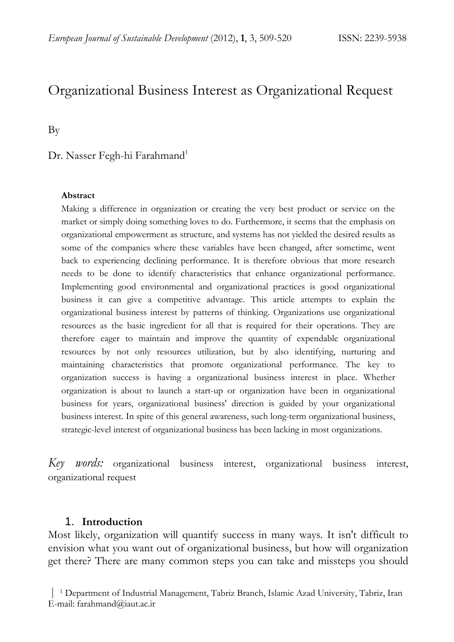# Organizational Business Interest as Organizational Request

By

# Dr. Nasser Fegh-hi Farahmand<sup>1</sup>

#### **Abstract**

Making a difference in organization or creating the very best product or service on the market or simply doing something loves to do. Furthermore, it seems that the emphasis on organizational empowerment as structure, and systems has not yielded the desired results as some of the companies where these variables have been changed, after sometime, went back to experiencing declining performance. It is therefore obvious that more research needs to be done to identify characteristics that enhance organizational performance. Implementing good environmental and organizational practices is good organizational business it can give a competitive advantage. This article attempts to explain the organizational business interest by patterns of thinking. Organizations use organizational resources as the basic ingredient for all that is required for their operations. They are therefore eager to maintain and improve the quantity of expendable organizational resources by not only resources utilization, but by also identifying, nurturing and maintaining characteristics that promote organizational performance. The key to organization success is having a organizational business interest in place. Whether organization is about to launch a start-up or organization have been in organizational business for years, organizational business' direction is guided by your organizational business interest. In spite of this general awareness, such long-term organizational business, strategic-level interest of organizational business has been lacking in most organizations.

*Key words:* organizational business interest, organizational business interest, organizational request

#### 1. **Introduction**

Most likely, organization will quantify success in many ways. It isn't difficult to envision what you want out of organizational business, but how will organization get there? There are many common steps you can take and missteps you should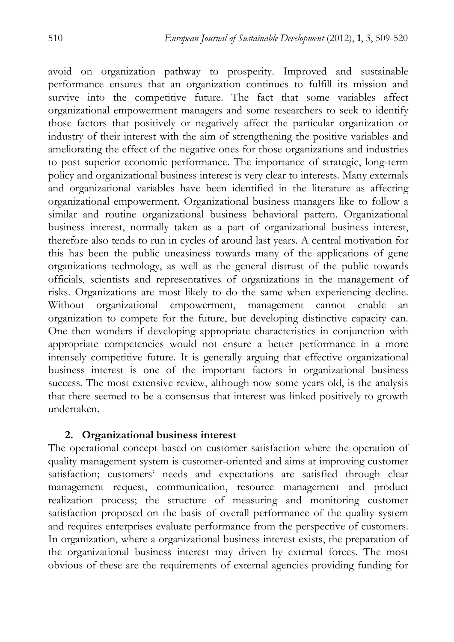avoid on organization pathway to prosperity. Improved and sustainable performance ensures that an organization continues to fulfill its mission and survive into the competitive future. The fact that some variables affect organizational empowerment managers and some researchers to seek to identify those factors that positively or negatively affect the particular organization or industry of their interest with the aim of strengthening the positive variables and ameliorating the effect of the negative ones for those organizations and industries to post superior economic performance. The importance of strategic, long-term policy and organizational business interest is very clear to interests. Many externals and organizational variables have been identified in the literature as affecting organizational empowerment. Organizational business managers like to follow a similar and routine organizational business behavioral pattern. Organizational business interest, normally taken as a part of organizational business interest, therefore also tends to run in cycles of around last years. A central motivation for this has been the public uneasiness towards many of the applications of gene organizations technology, as well as the general distrust of the public towards officials, scientists and representatives of organizations in the management of risks. Organizations are most likely to do the same when experiencing decline. Without organizational empowerment, management cannot enable an organization to compete for the future, but developing distinctive capacity can. One then wonders if developing appropriate characteristics in conjunction with appropriate competencies would not ensure a better performance in a more intensely competitive future. It is generally arguing that effective organizational business interest is one of the important factors in organizational business success. The most extensive review, although now some years old, is the analysis that there seemed to be a consensus that interest was linked positively to growth undertaken.

### **2. Organizational business interest**

The operational concept based on customer satisfaction where the operation of quality management system is customer-oriented and aims at improving customer satisfaction; customers' needs and expectations are satisfied through clear management request, communication, resource management and product realization process; the structure of measuring and monitoring customer satisfaction proposed on the basis of overall performance of the quality system and requires enterprises evaluate performance from the perspective of customers. In organization, where a organizational business interest exists, the preparation of the organizational business interest may driven by external forces. The most obvious of these are the requirements of external agencies providing funding for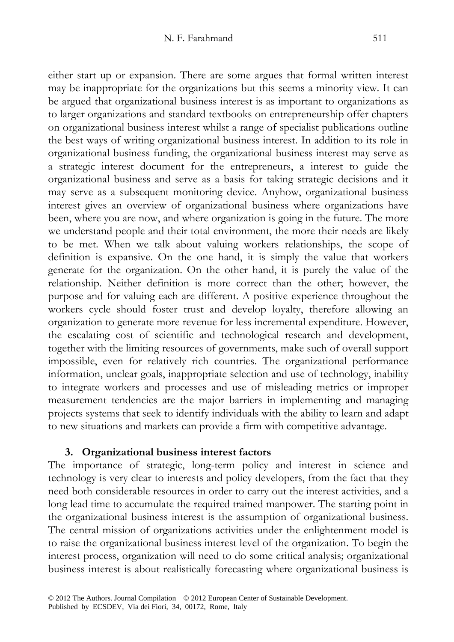either start up or expansion. There are some argues that formal written interest may be inappropriate for the organizations but this seems a minority view. It can be argued that organizational business interest is as important to organizations as to larger organizations and standard textbooks on entrepreneurship offer chapters on organizational business interest whilst a range of specialist publications outline the best ways of writing organizational business interest. In addition to its role in organizational business funding, the organizational business interest may serve as a strategic interest document for the entrepreneurs, a interest to guide the organizational business and serve as a basis for taking strategic decisions and it may serve as a subsequent monitoring device. Anyhow, organizational business interest gives an overview of organizational business where organizations have been, where you are now, and where organization is going in the future. The more we understand people and their total environment, the more their needs are likely to be met. When we talk about valuing workers relationships, the scope of definition is expansive. On the one hand, it is simply the value that workers generate for the organization. On the other hand, it is purely the value of the relationship. Neither definition is more correct than the other; however, the purpose and for valuing each are different. A positive experience throughout the workers cycle should foster trust and develop loyalty, therefore allowing an organization to generate more revenue for less incremental expenditure. However, the escalating cost of scientific and technological research and development, together with the limiting resources of governments, make such of overall support impossible, even for relatively rich countries. The organizational performance information, unclear goals, inappropriate selection and use of technology, inability to integrate workers and processes and use of misleading metrics or improper measurement tendencies are the major barriers in implementing and managing projects systems that seek to identify individuals with the ability to learn and adapt to new situations and markets can provide a firm with competitive advantage.

### **3. Organizational business interest factors**

The importance of strategic, long-term policy and interest in science and technology is very clear to interests and policy developers, from the fact that they need both considerable resources in order to carry out the interest activities, and a long lead time to accumulate the required trained manpower. The starting point in the organizational business interest is the assumption of organizational business. The central mission of organizations activities under the enlightenment model is to raise the organizational business interest level of the organization. To begin the interest process, organization will need to do some critical analysis; organizational business interest is about realistically forecasting where organizational business is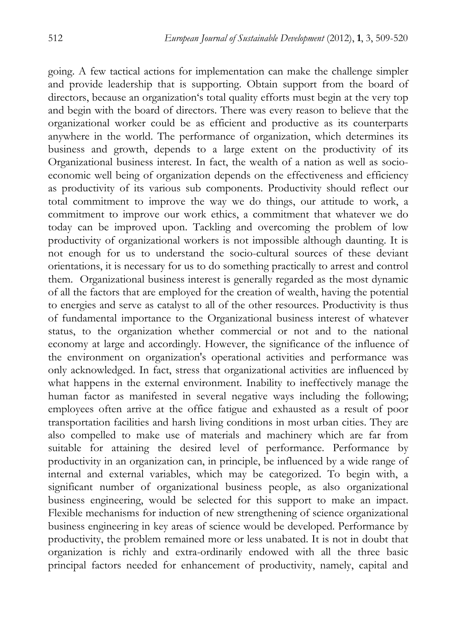going. A few tactical actions for implementation can make the challenge simpler and provide leadership that is supporting. Obtain support from the board of directors, because an organization's total quality efforts must begin at the very top and begin with the board of directors. There was every reason to believe that the organizational worker could be as efficient and productive as its counterparts anywhere in the world. The performance of organization, which determines its business and growth, depends to a large extent on the productivity of its Organizational business interest. In fact, the wealth of a nation as well as socioeconomic well being of organization depends on the effectiveness and efficiency as productivity of its various sub components. Productivity should reflect our total commitment to improve the way we do things, our attitude to work, a commitment to improve our work ethics, a commitment that whatever we do today can be improved upon. Tackling and overcoming the problem of low productivity of organizational workers is not impossible although daunting. It is not enough for us to understand the socio-cultural sources of these deviant orientations, it is necessary for us to do something practically to arrest and control them. Organizational business interest is generally regarded as the most dynamic of all the factors that are employed for the creation of wealth, having the potential to energies and serve as catalyst to all of the other resources. Productivity is thus of fundamental importance to the Organizational business interest of whatever status, to the organization whether commercial or not and to the national economy at large and accordingly. However, the significance of the influence of the environment on organization's operational activities and performance was only acknowledged. In fact, stress that organizational activities are influenced by what happens in the external environment. Inability to ineffectively manage the human factor as manifested in several negative ways including the following; employees often arrive at the office fatigue and exhausted as a result of poor transportation facilities and harsh living conditions in most urban cities. They are also compelled to make use of materials and machinery which are far from suitable for attaining the desired level of performance. Performance by productivity in an organization can, in principle, be influenced by a wide range of internal and external variables, which may be categorized. To begin with, a significant number of organizational business people, as also organizational business engineering, would be selected for this support to make an impact. Flexible mechanisms for induction of new strengthening of science organizational business engineering in key areas of science would be developed. Performance by productivity, the problem remained more or less unabated. It is not in doubt that organization is richly and extra-ordinarily endowed with all the three basic principal factors needed for enhancement of productivity, namely, capital and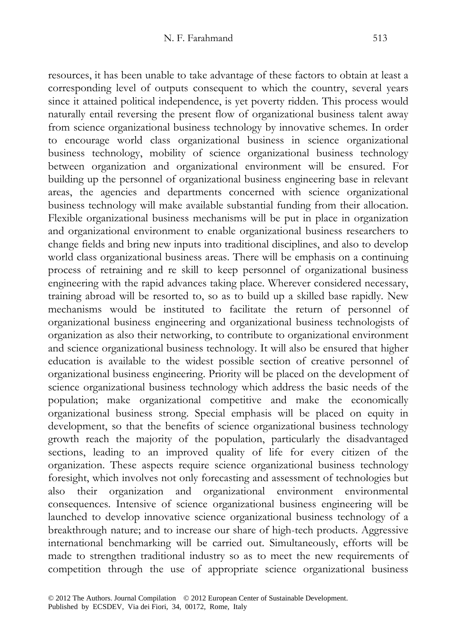resources, it has been unable to take advantage of these factors to obtain at least a corresponding level of outputs consequent to which the country, several years since it attained political independence, is yet poverty ridden. This process would naturally entail reversing the present flow of organizational business talent away from science organizational business technology by innovative schemes. In order to encourage world class organizational business in science organizational business technology, mobility of science organizational business technology between organization and organizational environment will be ensured. For building up the personnel of organizational business engineering base in relevant areas, the agencies and departments concerned with science organizational business technology will make available substantial funding from their allocation. Flexible organizational business mechanisms will be put in place in organization and organizational environment to enable organizational business researchers to change fields and bring new inputs into traditional disciplines, and also to develop world class organizational business areas. There will be emphasis on a continuing process of retraining and re skill to keep personnel of organizational business engineering with the rapid advances taking place. Wherever considered necessary, training abroad will be resorted to, so as to build up a skilled base rapidly. New mechanisms would be instituted to facilitate the return of personnel of organizational business engineering and organizational business technologists of organization as also their networking, to contribute to organizational environment and science organizational business technology. It will also be ensured that higher education is available to the widest possible section of creative personnel of organizational business engineering. Priority will be placed on the development of science organizational business technology which address the basic needs of the population; make organizational competitive and make the economically organizational business strong. Special emphasis will be placed on equity in development, so that the benefits of science organizational business technology growth reach the majority of the population, particularly the disadvantaged sections, leading to an improved quality of life for every citizen of the organization. These aspects require science organizational business technology foresight, which involves not only forecasting and assessment of technologies but also their organization and organizational environment environmental consequences. Intensive of science organizational business engineering will be launched to develop innovative science organizational business technology of a breakthrough nature; and to increase our share of high-tech products. Aggressive international benchmarking will be carried out. Simultaneously, efforts will be made to strengthen traditional industry so as to meet the new requirements of competition through the use of appropriate science organizational business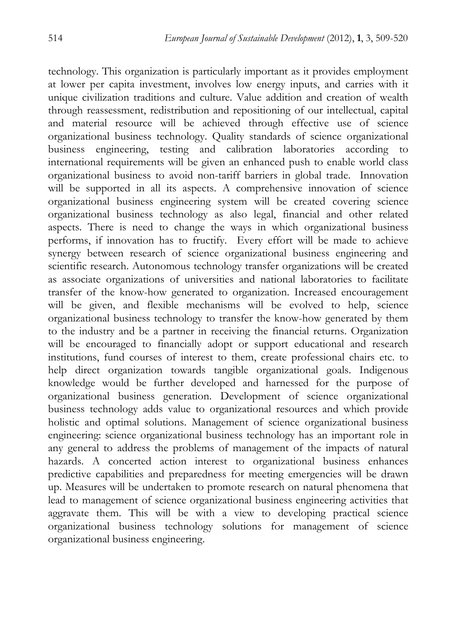technology. This organization is particularly important as it provides employment at lower per capita investment, involves low energy inputs, and carries with it unique civilization traditions and culture. Value addition and creation of wealth through reassessment, redistribution and repositioning of our intellectual, capital and material resource will be achieved through effective use of science organizational business technology. Quality standards of science organizational business engineering, testing and calibration laboratories according to international requirements will be given an enhanced push to enable world class organizational business to avoid non-tariff barriers in global trade. Innovation will be supported in all its aspects. A comprehensive innovation of science organizational business engineering system will be created covering science organizational business technology as also legal, financial and other related aspects. There is need to change the ways in which organizational business performs, if innovation has to fructify. Every effort will be made to achieve synergy between research of science organizational business engineering and scientific research. Autonomous technology transfer organizations will be created as associate organizations of universities and national laboratories to facilitate transfer of the know-how generated to organization. Increased encouragement will be given, and flexible mechanisms will be evolved to help, science organizational business technology to transfer the know-how generated by them to the industry and be a partner in receiving the financial returns. Organization will be encouraged to financially adopt or support educational and research institutions, fund courses of interest to them, create professional chairs etc. to help direct organization towards tangible organizational goals. Indigenous knowledge would be further developed and harnessed for the purpose of organizational business generation. Development of science organizational business technology adds value to organizational resources and which provide holistic and optimal solutions. Management of science organizational business engineering: science organizational business technology has an important role in any general to address the problems of management of the impacts of natural hazards. A concerted action interest to organizational business enhances predictive capabilities and preparedness for meeting emergencies will be drawn up. Measures will be undertaken to promote research on natural phenomena that lead to management of science organizational business engineering activities that aggravate them. This will be with a view to developing practical science organizational business technology solutions for management of science organizational business engineering.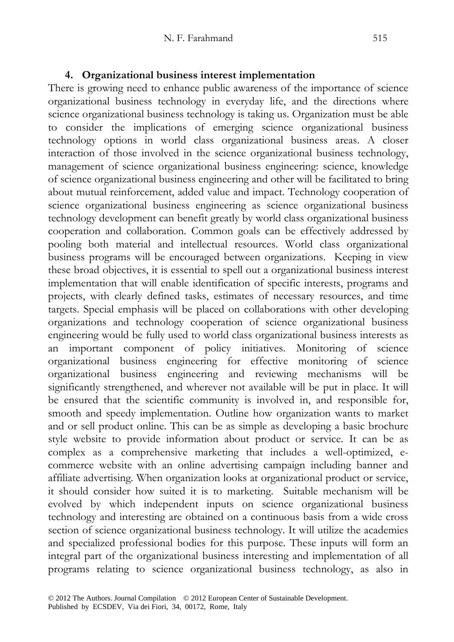# **4. Organizational business interest implementation**

There is growing need to enhance public awareness of the importance of science organizational business technology in everyday life, and the directions where science organizational business technology is taking us. Organization must be able to consider the implications of emerging science organizational business technology options in world class organizational business areas. A closer interaction of those involved in the science organizational business technology, management of science organizational business engineering: science, knowledge of science organizational business engineering and other will be facilitated to bring about mutual reinforcement, added value and impact. Technology cooperation of science organizational business engineering as science organizational business technology development can benefit greatly by world class organizational business cooperation and collaboration. Common goals can be effectively addressed by pooling both material and intellectual resources. World class organizational business programs will be encouraged between organizations. Keeping in view these broad objectives, it is essential to spell out a organizational business interest implementation that will enable identification of specific interests, programs and projects, with clearly defined tasks, estimates of necessary resources, and time targets. Special emphasis will be placed on collaborations with other developing organizations and technology cooperation of science organizational business engineering would be fully used to world class organizational business interests as an important component of policy initiatives. Monitoring of science organizational business engineering for effective monitoring of science organizational business engineering and reviewing mechanisms will be significantly strengthened, and wherever not available will be put in place. It will be ensured that the scientific community is involved in, and responsible for, smooth and speedy implementation. Outline how organization wants to market and or sell product online. This can be as simple as developing a basic brochure style website to provide information about product or service. It can be as complex as a comprehensive marketing that includes a well-optimized, ecommerce website with an online advertising campaign including banner and affiliate advertising. When organization looks at organizational product or service, it should consider how suited it is to marketing. Suitable mechanism will be evolved by which independent inputs on science organizational business technology and interesting are obtained on a continuous basis from a wide cross section of science organizational business technology. It will utilize the academies and specialized professional bodies for this purpose. These inputs will form an integral part of the organizational business interesting and implementation of all programs relating to science organizational business technology, as also in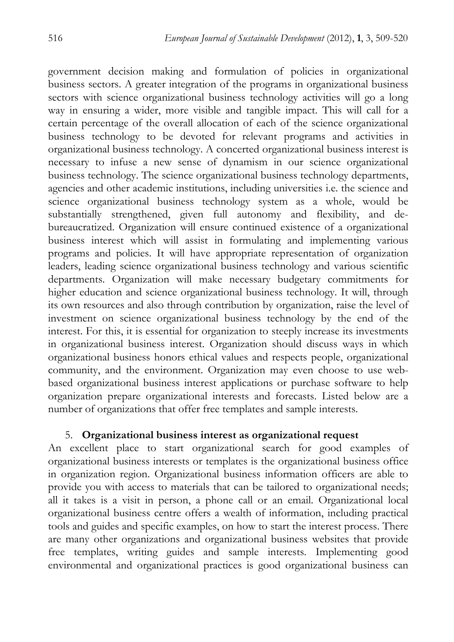government decision making and formulation of policies in organizational business sectors. A greater integration of the programs in organizational business sectors with science organizational business technology activities will go a long way in ensuring a wider, more visible and tangible impact. This will call for a certain percentage of the overall allocation of each of the science organizational business technology to be devoted for relevant programs and activities in organizational business technology. A concerted organizational business interest is necessary to infuse a new sense of dynamism in our science organizational business technology. The science organizational business technology departments, agencies and other academic institutions, including universities i.e. the science and science organizational business technology system as a whole, would be substantially strengthened, given full autonomy and flexibility, and debureaucratized. Organization will ensure continued existence of a organizational business interest which will assist in formulating and implementing various programs and policies. It will have appropriate representation of organization leaders, leading science organizational business technology and various scientific departments. Organization will make necessary budgetary commitments for higher education and science organizational business technology. It will, through its own resources and also through contribution by organization, raise the level of investment on science organizational business technology by the end of the interest. For this, it is essential for organization to steeply increase its investments in organizational business interest. Organization should discuss ways in which organizational business honors ethical values and respects people, organizational community, and the environment. Organization may even choose to use webbased organizational business interest applications or purchase software to help organization prepare organizational interests and forecasts. Listed below are a number of organizations that offer free templates and sample interests.

### 5. **Organizational business interest as organizational request**

An excellent place to start organizational search for good examples of organizational business interests or templates is the organizational business office in organization region. Organizational business information officers are able to provide you with access to materials that can be tailored to organizational needs; all it takes is a visit in person, a phone call or an email. Organizational local organizational business centre offers a wealth of information, including practical tools and guides and specific examples, on how to start the interest process. There are many other organizations and organizational business websites that provide free templates, writing guides and sample interests. Implementing good environmental and organizational practices is good organizational business can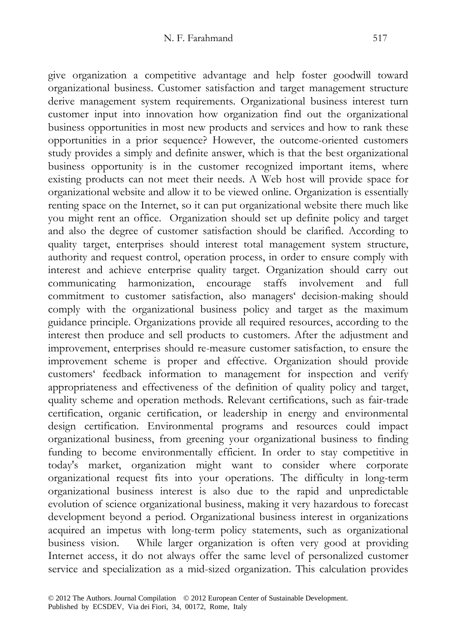give organization a competitive advantage and help foster goodwill toward organizational business. Customer satisfaction and target management structure derive management system requirements. Organizational business interest turn customer input into innovation how organization find out the organizational business opportunities in most new products and services and how to rank these opportunities in a prior sequence? However, the outcome-oriented customers study provides a simply and definite answer, which is that the best organizational business opportunity is in the customer recognized important items, where existing products can not meet their needs. A Web host will provide space for organizational website and allow it to be viewed online. Organization is essentially renting space on the Internet, so it can put organizational website there much like you might rent an office. Organization should set up definite policy and target and also the degree of customer satisfaction should be clarified. According to quality target, enterprises should interest total management system structure, authority and request control, operation process, in order to ensure comply with interest and achieve enterprise quality target. Organization should carry out communicating harmonization, encourage staffs involvement and full commitment to customer satisfaction, also managers' decision-making should comply with the organizational business policy and target as the maximum guidance principle. Organizations provide all required resources, according to the interest then produce and sell products to customers. After the adjustment and improvement, enterprises should re-measure customer satisfaction, to ensure the improvement scheme is proper and effective. Organization should provide customers' feedback information to management for inspection and verify appropriateness and effectiveness of the definition of quality policy and target, quality scheme and operation methods. Relevant certifications, such as fair-trade certification, organic certification, or leadership in energy and environmental design certification. Environmental programs and resources could impact organizational business, from greening your organizational business to finding funding to become environmentally efficient. In order to stay competitive in today's market, organization might want to consider where corporate organizational request fits into your operations. The difficulty in long-term organizational business interest is also due to the rapid and unpredictable evolution of science organizational business, making it very hazardous to forecast development beyond a period. Organizational business interest in organizations acquired an impetus with long-term policy statements, such as organizational business vision. While larger organization is often very good at providing Internet access, it do not always offer the same level of personalized customer service and specialization as a mid-sized organization. This calculation provides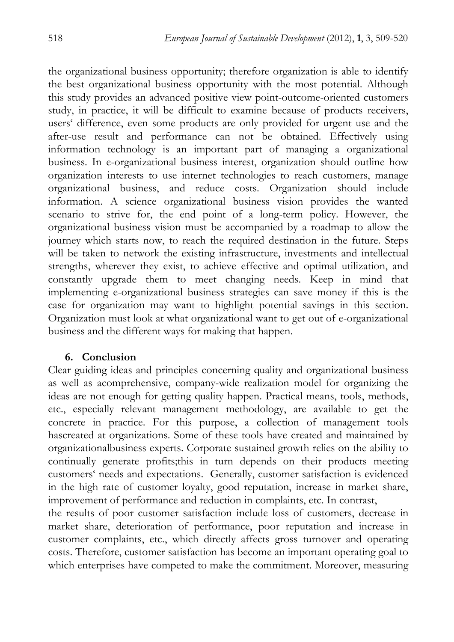the organizational business opportunity; therefore organization is able to identify the best organizational business opportunity with the most potential. Although this study provides an advanced positive view point-outcome-oriented customers study, in practice, it will be difficult to examine because of products receivers, users' difference, even some products are only provided for urgent use and the after-use result and performance can not be obtained. Effectively using information technology is an important part of managing a organizational business. In e-organizational business interest, organization should outline how organization interests to use internet technologies to reach customers, manage organizational business, and reduce costs. Organization should include information. A science organizational business vision provides the wanted scenario to strive for, the end point of a long-term policy. However, the organizational business vision must be accompanied by a roadmap to allow the journey which starts now, to reach the required destination in the future. Steps will be taken to network the existing infrastructure, investments and intellectual strengths, wherever they exist, to achieve effective and optimal utilization, and constantly upgrade them to meet changing needs. Keep in mind that implementing e-organizational business strategies can save money if this is the case for organization may want to highlight potential savings in this section. Organization must look at what organizational want to get out of e-organizational business and the different ways for making that happen.

### **6. Conclusion**

Clear guiding ideas and principles concerning quality and organizational business as well as acomprehensive, company-wide realization model for organizing the ideas are not enough for getting quality happen. Practical means, tools, methods, etc., especially relevant management methodology, are available to get the concrete in practice. For this purpose, a collection of management tools hascreated at organizations. Some of these tools have created and maintained by organizationalbusiness experts. Corporate sustained growth relies on the ability to continually generate profits;this in turn depends on their products meeting customers' needs and expectations. Generally, customer satisfaction is evidenced in the high rate of customer loyalty, good reputation, increase in market share, improvement of performance and reduction in complaints, etc. In contrast,

the results of poor customer satisfaction include loss of customers, decrease in market share, deterioration of performance, poor reputation and increase in customer complaints, etc., which directly affects gross turnover and operating costs. Therefore, customer satisfaction has become an important operating goal to which enterprises have competed to make the commitment. Moreover, measuring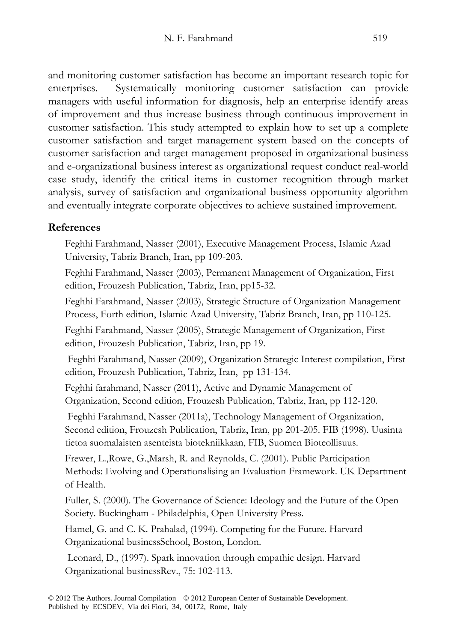and monitoring customer satisfaction has become an important research topic for enterprises. Systematically monitoring customer satisfaction can provide managers with useful information for diagnosis, help an enterprise identify areas of improvement and thus increase business through continuous improvement in customer satisfaction. This study attempted to explain how to set up a complete customer satisfaction and target management system based on the concepts of customer satisfaction and target management proposed in organizational business and e-organizational business interest as organizational request conduct real-world case study, identify the critical items in customer recognition through market analysis, survey of satisfaction and organizational business opportunity algorithm and eventually integrate corporate objectives to achieve sustained improvement.

# **References**

- Feghhi Farahmand, Nasser (2001), Executive Management Process, Islamic Azad University, Tabriz Branch, Iran, pp 109-203.
- Feghhi Farahmand, Nasser (2003), Permanent Management of Organization, First edition, Frouzesh Publication, Tabriz, Iran, pp15-32.
- Feghhi Farahmand, Nasser (2003), Strategic Structure of Organization Management Process, Forth edition, Islamic Azad University, Tabriz Branch, Iran, pp 110-125.
- Feghhi Farahmand, Nasser (2005), Strategic Management of Organization, First edition, Frouzesh Publication, Tabriz, Iran, pp 19.
- Feghhi Farahmand, Nasser (2009), Organization Strategic Interest compilation, First edition, Frouzesh Publication, Tabriz, Iran, pp 131-134.
- Feghhi farahmand, Nasser (2011), Active and Dynamic Management of Organization, Second edition, Frouzesh Publication, Tabriz, Iran, pp 112-120.
- Feghhi Farahmand, Nasser (2011a), Technology Management of Organization, Second edition, Frouzesh Publication, Tabriz, Iran, pp 201-205. FIB (1998). Uusinta tietoa suomalaisten asenteista biotekniikkaan, FIB, Suomen Bioteollisuus.
- Frewer, L.,Rowe, G.,Marsh, R. and Reynolds, C. (2001). Public Participation Methods: Evolving and Operationalising an Evaluation Framework. UK Department of Health.
- Fuller, S. (2000). The Governance of Science: Ideology and the Future of the Open Society. Buckingham - Philadelphia, Open University Press.
- Hamel, G. and C. K. Prahalad, (1994). Competing for the Future. Harvard Organizational businessSchool, Boston, London.
- Leonard, D., (1997). Spark innovation through empathic design. Harvard Organizational businessRev., 75: 102-113.